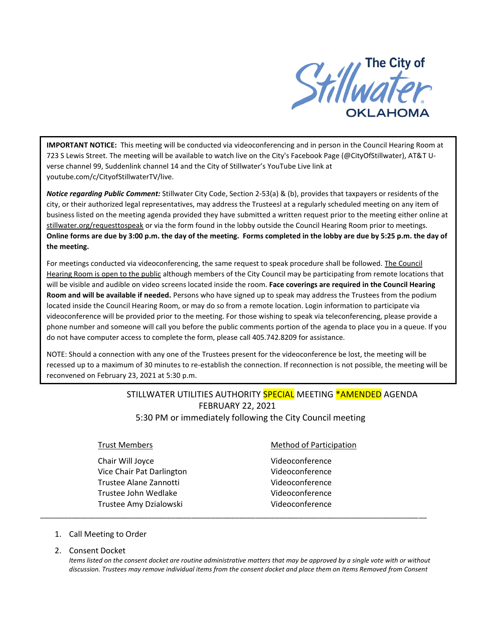

**IMPORTANT NOTICE:** This meeting will be conducted via videoconferencing and in person in the Council Hearing Room at 723 S Lewis Street. The meeting will be available to watch live on the City's Facebook Page (@CityOfStillwater), AT&T Uverse channel 99, Suddenlink channel 14 and the City of Stillwater's YouTube Live link at youtube.com/c/CityofStillwaterTV/live.

*Notice regarding Public Comment:* Stillwater City Code, Section 2-53(a) & (b), provides that taxpayers or residents of the city, or their authorized legal representatives, may address the Trusteesl at a regularly scheduled meeting on any item of business listed on the meeting agenda provided they have submitted a written request prior to the meeting either online at stillwater.org/requesttospeak or via the form found in the lobby outside the Council Hearing Room prior to meetings. **Online forms are due by 3:00 p.m. the day of the meeting. Forms completed in the lobby are due by 5:25 p.m. the day of the meeting.**

For meetings conducted via videoconferencing, the same request to speak procedure shall be followed. The Council Hearing Room is open to the public although members of the City Council may be participating from remote locations that will be visible and audible on video screens located inside the room. **Face coverings are required in the Council Hearing Room and will be available if needed.** Persons who have signed up to speak may address the Trustees from the podium located inside the Council Hearing Room, or may do so from a remote location. Login information to participate via videoconference will be provided prior to the meeting. For those wishing to speak via teleconferencing, please provide a phone number and someone will call you before the public comments portion of the agenda to place you in a queue. If you do not have computer access to complete the form, please call 405.742.8209 for assistance.

NOTE: Should a connection with any one of the Trustees present for the videoconference be lost, the meeting will be recessed up to a maximum of 30 minutes to re-establish the connection. If reconnection is not possible, the meeting will be reconvened on February 23, 2021 at 5:30 p.m.

# STILLWATER UTILITIES AUTHORITY **SPECIAL** MEETING \*AMENDED AGENDA FEBRUARY 22, 2021 5:30 PM or immediately following the City Council meeting

\_\_\_\_\_\_\_\_\_\_\_\_\_\_\_\_\_\_\_\_\_\_\_\_\_\_\_\_\_\_\_\_\_\_\_\_\_\_\_\_\_\_\_\_\_\_\_\_\_\_\_\_\_\_\_\_\_\_\_\_\_\_\_\_\_\_\_\_\_\_\_\_\_\_\_\_\_\_\_\_\_\_\_\_\_\_\_\_\_\_\_\_\_\_\_\_\_

Chair Will Joyce **Videoconference** Vice Chair Pat Darlington Videoconference Trustee Alane Zannotti Videoconference Trustee John Wedlake Videoconference Trustee Amy Dzialowski Videoconference

### **Trust Members Method of Participation**

- 1. Call Meeting to Order
- 2. Consent Docket

*Items listed on the consent docket are routine administrative matters that may be approved by a single vote with or without discussion. Trustees may remove individual items from the consent docket and place them on Items Removed from Consent*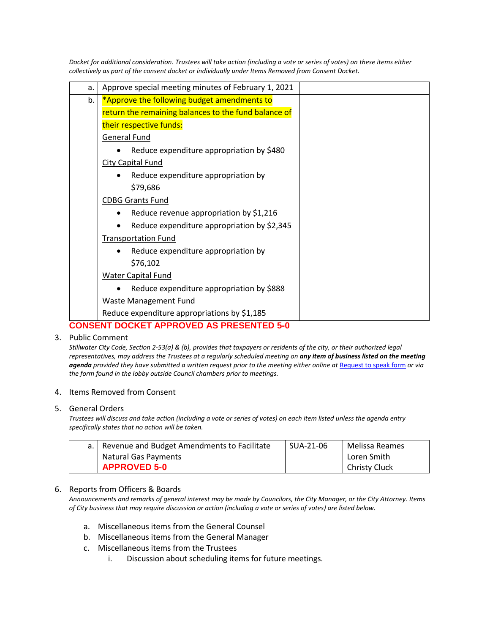| Docket for additional consideration. Trustees will take action (including a vote or series of votes) on these items either |
|----------------------------------------------------------------------------------------------------------------------------|
| collectively as part of the consent docket or individually under Items Removed from Consent Docket.                        |

| a. | Approve special meeting minutes of February 1, 2021  |  |
|----|------------------------------------------------------|--|
| b. | *Approve the following budget amendments to          |  |
|    | return the remaining balances to the fund balance of |  |
|    | their respective funds:                              |  |
|    | General Fund                                         |  |
|    | Reduce expenditure appropriation by \$480            |  |
|    | <b>City Capital Fund</b>                             |  |
|    | Reduce expenditure appropriation by                  |  |
|    | \$79,686                                             |  |
|    | <b>CDBG Grants Fund</b>                              |  |
|    | Reduce revenue appropriation by \$1,216              |  |
|    | Reduce expenditure appropriation by \$2,345          |  |
|    | <b>Transportation Fund</b>                           |  |
|    | Reduce expenditure appropriation by                  |  |
|    | \$76,102                                             |  |
|    | <b>Water Capital Fund</b>                            |  |
|    | Reduce expenditure appropriation by \$888            |  |
|    | <b>Waste Management Fund</b>                         |  |
|    | Reduce expenditure appropriations by \$1,185         |  |
|    | <b>CONSENT DOCKET APPROVED AS PRESENTED 5-0</b>      |  |

# 3. Public Comment

*Stillwater City Code, Section 2-53(a) & (b), provides that taxpayers or residents of the city, or their authorized legal representatives, may address the Trustees at a regularly scheduled meeting on any item of business listed on the meeting*  agenda *provided they have submitted a written request prior to the meeting either online at [Request to speak form](http://stillwater.org/page/home/government/mayor-city-council/meetings-agendas-minutes/online-request-to-speak-at-city-council) or via the form found in the lobby outside Council chambers prior to meetings.*

### 4. Items Removed from Consent

### 5. General Orders

*Trustees will discuss and take action (including a vote or series of votes) on each item listed unless the agenda entry specifically states that no action will be taken.*

| a.   Revenue and Budget Amendments to Facilitate | SUA-21-06 | Melissa Reames       |
|--------------------------------------------------|-----------|----------------------|
| Natural Gas Payments                             |           | Loren Smith          |
| <b>APPROVED 5-0</b>                              |           | <b>Christy Cluck</b> |

# 6. Reports from Officers & Boards

*Announcements and remarks of general interest may be made by Councilors, the City Manager, or the City Attorney. Items of City business that may require discussion or action (including a vote or series of votes) are listed below.*

- a. Miscellaneous items from the General Counsel
- b. Miscellaneous items from the General Manager
- c. Miscellaneous items from the Trustees
	- i. Discussion about scheduling items for future meetings.